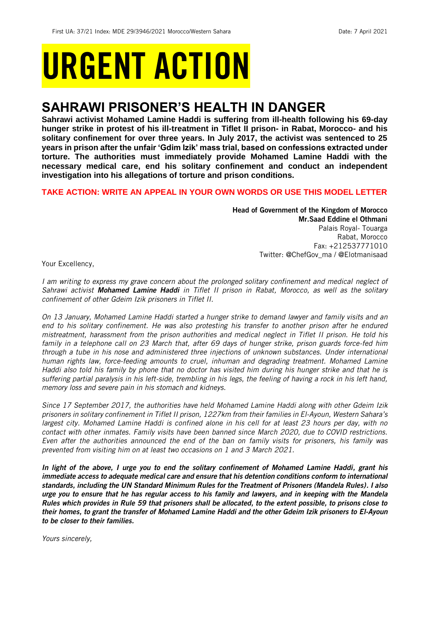# URGENT ACTION

## **SAHRAWI PRISONER'S HEALTH IN DANGER**

**Sahrawi activist Mohamed Lamine Haddi is suffering from ill-health following his 69-day hunger strike in protest of his ill-treatment in Tiflet II prison- in Rabat, Morocco- and his solitary confinement for over three years. In July 2017, the activist was sentenced to 25 years in prison after the unfair 'Gdim Izik' mass trial, based on confessions extracted under torture. The authorities must immediately provide Mohamed Lamine Haddi with the necessary medical care, end his solitary confinement and conduct an independent investigation into his allegations of torture and prison conditions.**

## **TAKE ACTION: WRITE AN APPEAL IN YOUR OWN WORDS OR USE THIS MODEL LETTER**

Head of Government of the Kingdom of Morocco Mr.Saad Eddine el Othmani

Palais Royal- Touarga Rabat, Morocco Fax: +212537771010 Twitter: @ChefGov ma / @Elotmanisaad

Your Excellency,

*I am writing to express my grave concern about the prolonged solitary confinement and medical neglect of Sahrawi activist Mohamed Lamine Haddi in Tiflet II prison in Rabat, Morocco, as well as the solitary confinement of other Gdeim Izik prisoners in Tiflet II.*

*On 13 January, Mohamed Lamine Haddi started a hunger strike to demand lawyer and family visits and an end to his solitary confinement. He was also protesting his transfer to another prison after he endured mistreatment, harassment from the prison authorities and medical neglect in Tiflet II prison. He told his family in a telephone call on 23 March that, after 69 days of hunger strike, prison guards force-fed him through a tube in his nose and administered three injections of unknown substances. Under international human rights law, force-feeding amounts to cruel, inhuman and degrading treatment. Mohamed Lamine Haddi also told his family by phone that no doctor has visited him during his hunger strike and that he is suffering partial paralysis in his left-side, trembling in his legs, the feeling of having a rock in his left hand, memory loss and severe pain in his stomach and kidneys.*

*Since 17 September 2017, the authorities have held Mohamed Lamine Haddi along with other Gdeim Izik prisoners in solitary confinement in Tiflet II prison, 1227km from their families in El-Ayoun, Western Sahara's largest city. Mohamed Lamine Haddi is confined alone in his cell for at least 23 hours per day, with no contact with other inmates. Family visits have been banned since March 2020, due to COVID restrictions. Even after the authorities announced the end of the ban on family visits for prisoners, his family was prevented from visiting him on at least two occasions on 1 and 3 March 2021.*

*In light of the above, I urge you to end the solitary confinement of Mohamed Lamine Haddi, grant his immediate access to adequate medical care and ensure that his detention conditions conform to international standards, including the UN Standard Minimum Rules for the Treatment of Prisoners (Mandela Rules). I also urge you to ensure that he has regular access to his family and lawyers, and in keeping with the Mandela Rules which provides in Rule 59 that prisoners shall be allocated, to the extent possible, to prisons close to their homes, to grant the transfer of Mohamed Lamine Haddi and the other Gdeim Izik prisoners to El-Ayoun to be closer to their families.*

*Yours sincerely,*